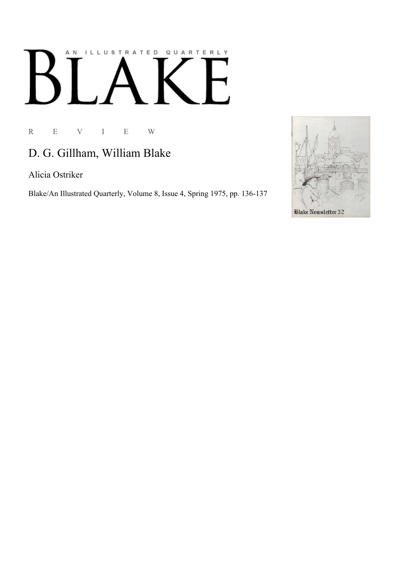## AN ILLUSTRATED QUARTERLY  $\mathbf{L}$ E  $B$

R E V I E W

## D. G. Gillham, William Blake

Alicia Ostriker

Blake/An Illustrated Quarterly, Volume 8, Issue 4, Spring 1975, pp. 136-137

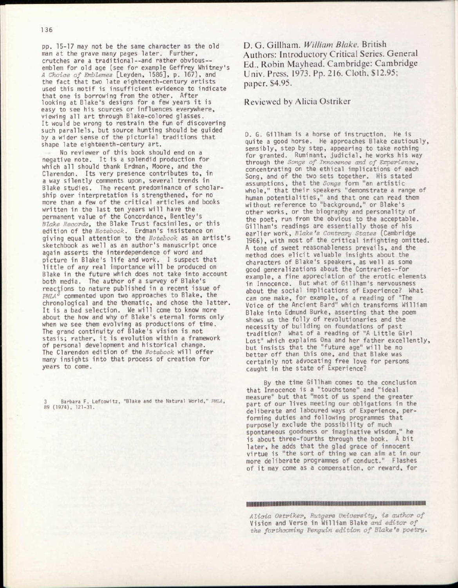pp. 15-17 may not be the same character as the old man at the grave many pages later. Further, crutches are a traditional--and rather obvious- emblem for old age (see for example Geffrey Whitney's *A Choice of Emblemes* [Leyden, 1586], p. 167), and the fact that two late eighteenth-century artists used this motif is insufficient evidence to indicate that one is borrowing from the other. After looking at Blake's designs for a few years it is easy to see his sources or influences everywhere, viewing all art through Blake-colored glasses. It would be wrong to restrain the fun of discovering such parallels, but source hunting should be guided by a wider sense of the pictorial traditions that shape late eighteenth-century art .

No reviewer of this book should end on a negative note. It is a splendid production for which all should thank Erdman, Moore, and the Clarendon. Its very presence contributes to, in a way silently comments upon, several trends in Blake studies. The recent predominance of scholarship over interpretation is strengthened, for no more than a few of the critical articles and books written in the last ten years will have the permanent value of the Concordance, Bentley's *Blake Records^* the Blake Trust facsimiles, or this edition of the *Notebook.* Erdman's insistence on giving equal attention to the *Notebook* as an artist' s sketchbook as well as an author's manuscript once again asserts the interdependence of word and picture in Blake's life and work. I suspect that little of any real importance will be produced on Blake in the future which does not take into account both media. The author of a survey of Blake's reactions to nature published in a recent issue of *PMLA<sup>3</sup>* commented upon two approaches to Blake, the chronological and the thematic, and chose the latter. It is a bad selection. We will come to know more about the how and why of Blake's eternal forms only when we see them evolving as productions of time. The grand continuity of Blake's vision is not stasis; rather, it is evolution within a framework of personal development and historical change. The Clarendon edition of the Notebook will offer many insights into that process of creation for years to come.

3 Barbara F. Lefcowitz, "Blake and the Natural World," *PMLA,*  89 (1974), 121-31.

D. G. Gillham. *William Blake.* British Authors: Introductory Critical Series. General Ed., Robin Mayhead. Cambridge: Cambridge Univ. Press, 1973. Pp. 216. Cloth. \$12.95; paper, \$4.95.

Reviewed by Alicia Ostriker

D. G. Gillham is a horse of instruction. He is quite a good horse. He approaches Blake cautiously, sensibly, step by step, appearing to take nothing for granted. Ruminant, judicial, he works his way through the *Songs of Innocence and of Experience,*  concentrating on the ethical implications of each Song, and of the two sets together. His stated assumptions, that the *Songs* form "an artisti c whole," that their speakers "demonstrate a range of human potentialities," and that one can read them without reference to "background," or Blake's other works, or the biography and personality of the poet, run from the obvious to the acceptable. Gillham's readings are essentially those of his earlier work, *Blake's Contrary States* (Cambridge 1966), with most of the critical infighting omitted. A tone of sweet reasonableness prevails, and the method does elicit valuable insights about the characters of Blake's speakers, as well as some good generalizations about the Contraries—for example, a fine appreciation of the erotic elements in Innocence. But what of Gillham's nervousness about the social implications of Experience? What can one make, for example, of a reading of "The Voice of the Ancient Bard" which transforms William Blake into Edmund Burke, asserting that the poem shows us the folly of revolutionaries and the necessity of building on foundations of past tradition? What of a reading of "A Little Girl Lost" which explains Ona and her father excellently, but insists that the "future age" will be no better off than this one, and that Blake was certainly not advocating free love for persons caught in the state of Experience?

By the time Gillham comes to the conclusion that Innocence is a "touchstone" and "ideal measure" but that "most of us spend the greater part of our lives meeting our obligations in the deliberate and laboured ways of Experience, performing duties and following programmes that purposely exclude the possibility of much spontaneous goodness or imaginative wisdom," he is about three-fourths through the book. A bit later, he adds that the glad grace of innocent virtue is "the sort of thing we can aim at in our more deliberate programmes of conduct." Flashes of it may come as a compensation, or reward, for

lillllllllllllllllllllllllllllllilllilllllllllllllllllllllllllllllllllllllllllllllllllllllllllllllllllllllllllllllllllllllll

*Alicia Ostriker<sup>t</sup> Rutgers University*, *is author of*  Vision and Verse in William Blake *and editor of the forthcoming Penguin edition of Blake's poetry.*